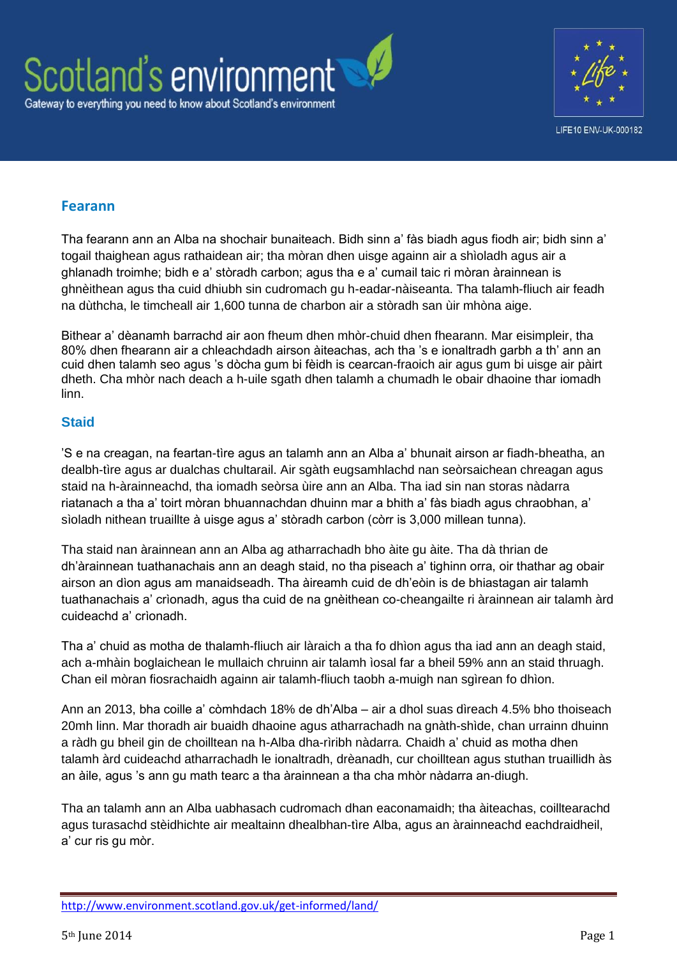



## **Fearann**

Tha fearann ann an Alba na shochair bunaiteach. Bidh sinn a' fàs biadh agus fiodh air; bidh sinn a' togail thaighean agus rathaidean air; tha mòran dhen uisge againn air a shìoladh agus air a ghlanadh troimhe; bidh e a' stòradh carbon; agus tha e a' cumail taic ri mòran àrainnean is ghnèithean agus tha cuid dhiubh sin cudromach gu h-eadar-nàiseanta. Tha talamh-fliuch air feadh na dùthcha, le timcheall air 1,600 tunna de charbon air a stòradh san ùir mhòna aige.

Bithear a' dèanamh barrachd air aon fheum dhen mhòr-chuid dhen fhearann. Mar eisimpleir, tha 80% dhen fhearann air a chleachdadh airson àiteachas, ach tha 's e ionaltradh garbh a th' ann an cuid dhen talamh seo agus 's dòcha gum bi fèidh is cearcan-fraoich air agus gum bi uisge air pàirt dheth. Cha mhòr nach deach a h-uile sgath dhen talamh a chumadh le obair dhaoine thar iomadh linn.

## **Staid**

'S e na creagan, na feartan-tìre agus an talamh ann an Alba a' bhunait airson ar fiadh-bheatha, an dealbh-tìre agus ar dualchas chultarail. Air sgàth eugsamhlachd nan seòrsaichean chreagan agus staid na h-àrainneachd, tha iomadh seòrsa ùire ann an Alba. Tha iad sin nan storas nàdarra riatanach a tha a' toirt mòran bhuannachdan dhuinn mar a bhith a' fàs biadh agus chraobhan, a' sìoladh nithean truaillte à uisge agus a' stòradh carbon (còrr is 3,000 millean tunna).

Tha staid nan àrainnean ann an Alba ag atharrachadh bho àite gu àite. Tha dà thrian de dh'àrainnean tuathanachais ann an deagh staid, no tha piseach a' tighinn orra, oir thathar ag obair airson an dìon agus am manaidseadh. Tha àireamh cuid de dh'eòin is de bhiastagan air talamh tuathanachais a' crìonadh, agus tha cuid de na gnèithean co-cheangailte ri àrainnean air talamh àrd cuideachd a' crìonadh.

Tha a' chuid as motha de thalamh-fliuch air làraich a tha fo dhìon agus tha iad ann an deagh staid, ach a-mhàin boglaichean le mullaich chruinn air talamh ìosal far a bheil 59% ann an staid thruagh. Chan eil mòran fiosrachaidh againn air talamh-fliuch taobh a-muigh nan sgìrean fo dhìon.

Ann an 2013, bha coille a' còmhdach 18% de dh'Alba – air a dhol suas dìreach 4.5% bho thoiseach 20mh linn. Mar thoradh air buaidh dhaoine agus atharrachadh na gnàth-shìde, chan urrainn dhuinn a ràdh gu bheil gin de choilltean na h-Alba dha-rìribh nàdarra. Chaidh a' chuid as motha dhen talamh àrd cuideachd atharrachadh le ionaltradh, drèanadh, cur choilltean agus stuthan truaillidh às an àile, agus 's ann gu math tearc a tha àrainnean a tha cha mhòr nàdarra an-diugh.

Tha an talamh ann an Alba uabhasach cudromach dhan eaconamaidh; tha àiteachas, coilltearachd agus turasachd stèidhichte air mealtainn dhealbhan-tìre Alba, agus an àrainneachd eachdraidheil, a' cur ris gu mòr.

<http://www.environment.scotland.gov.uk/get-informed/land/>